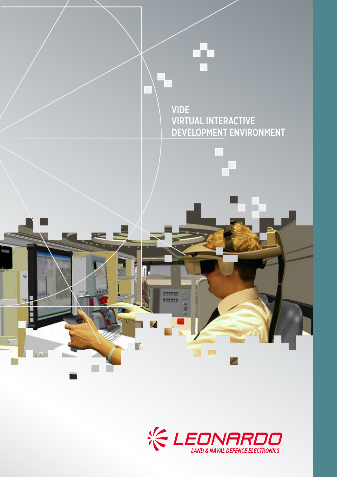

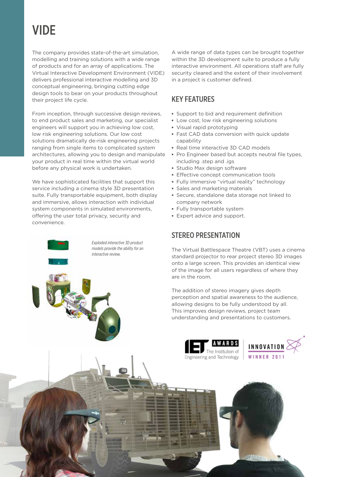# **VIDE**

The company provides state-of-the-art simulation, modelling and training solutions with a wide range of products and for an array of applications. The Virtual Interactive Development Environment (VIDE) delivers professional interactive modelling and 3D conceptual engineering, bringing cutting edge design tools to bear on your products throughout their project life cycle.

From inception, through successive design reviews, to end product sales and marketing, our specialist engineers will support you in achieving low cost, low risk engineering solutions. Our low cost solutions dramatically de-risk engineering projects ranging from single items to complicated system architectures, allowing you to design and manipulate your product in real time within the virtual world before any physical work is undertaken.

We have sophisticated facilities that support this service including a cinema style 3D presentation suite. Fully transportable equipment, both display and immersive, allows interaction with individual system components in simulated environments, offering the user total privacy, security and convenience.

> *Exploded interactive 3D product models provide the ability for an*

*interactive review.*

A wide range of data types can be brought together within the 3D development suite to produce a fully interactive environment. All operations staff are fully security cleared and the extent of their involvement in a project is customer defined.

## KEY FEATURES

- **▪** Support to bid and requirement definition
- **▪** Low cost, low risk engineering solutions
- **▪** Visual rapid prototyping
- **▪** Fast CAD data conversion with quick update capability
- **▪** Real time interactive 3D CAD models
- **▪** Pro Engineer based but accepts neutral file types, including .step and .igs
- **▪** Studio Max design software
- **Effective concept communication tools**
- **▪** Fully immersive "virtual reality" technology
- **▪** Sales and marketing materials
- **▪** Secure, standalone data storage not linked to company network
- **▪** Fully transportable system
- **▪** Expert advice and support.

## STEREO PRESENTATION

The Virtual Battlespace Theatre (VBT) uses a cinema standard projector to rear project stereo 3D images onto a large screen. This provides an identical view of the image for all users regardless of where they are in the room.

The addition of stereo imagery gives depth perception and spatial awareness to the audience, allowing designs to be fully understood by all. This improves design reviews, project team understanding and presentations to customers.



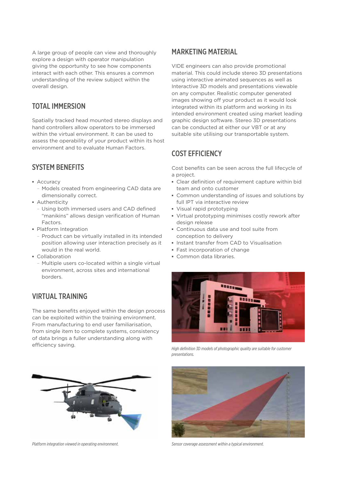A large group of people can view and thoroughly explore a design with operator manipulation giving the opportunity to see how components interact with each other. This ensures a common understanding of the review subject within the overall design.

#### TOTAL IMMERSION

Spatially tracked head mounted stereo displays and hand controllers allow operators to be immersed within the virtual environment. It can be used to assess the operability of your product within its host environment and to evaluate Human Factors.

#### SYSTEM BENEFITS

- **▪** Accuracy
	- Models created from engineering CAD data are dimensionally correct.
- **▪** Authenticity
	- Using both immersed users and CAD defined "manikins" allows design verification of Human Factors.
- **▪** Platform Integration
	- Product can be virtually installed in its intended position allowing user interaction precisely as it would in the real world.
- **▪** Collaboration
	- Multiple users co-located within a single virtual environment, across sites and international borders.

#### VIRTUAL TRAINING

The same benefits enjoyed within the design process can be exploited within the training environment. From manufacturing to end user familiarisation, from single item to complete systems, consistency of data brings a fuller understanding along with efficiency saving.



*Platform integration viewed in operating environment. Sensor coverage assessment within a typical environment.*

#### MARKETING MATERIAL

VIDE engineers can also provide promotional material. This could include stereo 3D presentations using interactive animated sequences as well as Interactive 3D models and presentations viewable on any computer. Realistic computer generated images showing off your product as it would look integrated within its platform and working in its intended environment created using market leading graphic design software. Stereo 3D presentations can be conducted at either our VBT or at any suitable site utilising our transportable system.

#### COST EFFICIENCY

Cost benefits can be seen across the full lifecycle of a project.

- **▪** Clear definition of requirement capture within bid team and onto customer
- **▪** Common understanding of issues and solutions by full IPT via interactive review
- **▪** Visual rapid prototyping
- **▪** Virtual prototyping minimises costly rework after design release
- **▪** Continuous data use and tool suite from conception to delivery
- **▪** Instant transfer from CAD to Visualisation
- **▪** Fast incorporation of change
- **▪** Common data libraries.



*High definition 3D models of photographic quality are suitable for customer presentations.*